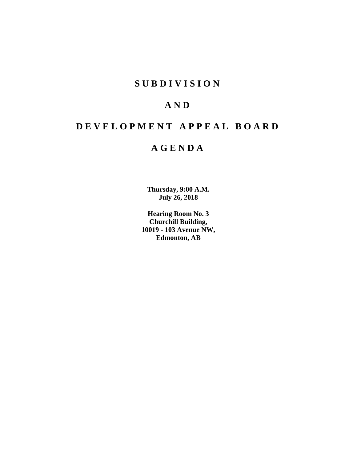# **SUBDIVISION**

# **AND**

# **DEVELOPMENT APPEAL BOARD**

# **AGENDA**

**Thursday, 9:00 A.M. July 26, 2018**

**Hearing Room No. 3 Churchill Building, 10019 - 103 Avenue NW, Edmonton, AB**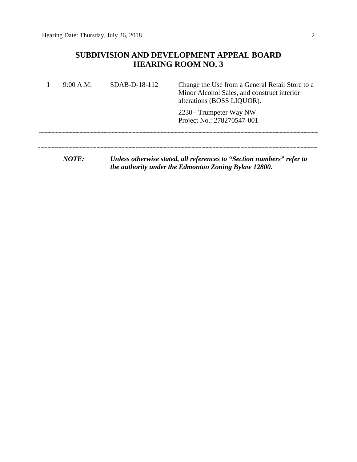# **SUBDIVISION AND DEVELOPMENT APPEAL BOARD HEARING ROOM NO. 3**

| 9:00 A.M.    | $SDAB-D-18-112$ | Change the Use from a General Retail Store to a<br>Minor Alcohol Sales, and construct interior<br>alterations (BOSS LIQUOR). |
|--------------|-----------------|------------------------------------------------------------------------------------------------------------------------------|
|              |                 | 2230 - Trumpeter Way NW<br>Project No.: 278270547-001                                                                        |
| <i>NOTE:</i> |                 | Unless otherwise stated, all references to "Section numbers" refer to                                                        |

*the authority under the Edmonton Zoning Bylaw 12800.*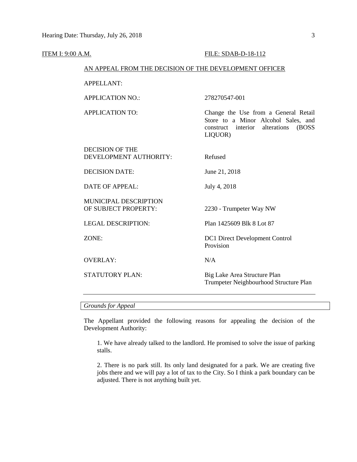# **ITEM I: 9:00 A.M. FILE: SDAB-D-18-112** AN APPEAL FROM THE DECISION OF THE DEVELOPMENT OFFICER APPELLANT: APPLICATION NO.: 278270547-001 APPLICATION TO: Change the Use from a General Retail Store to a Minor Alcohol Sales, and construct interior alterations (BOSS LIQUOR) DECISION OF THE DEVELOPMENT AUTHORITY: Refused DECISION DATE: June 21, 2018 DATE OF APPEAL: July 4, 2018 MUNICIPAL DESCRIPTION OF SUBJECT PROPERTY: 2230 - Trumpeter Way NW LEGAL DESCRIPTION: Plan 1425609 Blk 8 Lot 87 ZONE: DC1 Direct Development Control Provision OVERLAY: N/A STATUTORY PLAN: Big Lake Area Structure Plan Trumpeter Neighbourhood Structure Plan

### *Grounds for Appeal*

The Appellant provided the following reasons for appealing the decision of the Development Authority:

1. We have already talked to the landlord. He promised to solve the issue of parking stalls.

2. There is no park still. Its only land designated for a park. We are creating five jobs there and we will pay a lot of tax to the City. So I think a park boundary can be adjusted. There is not anything built yet.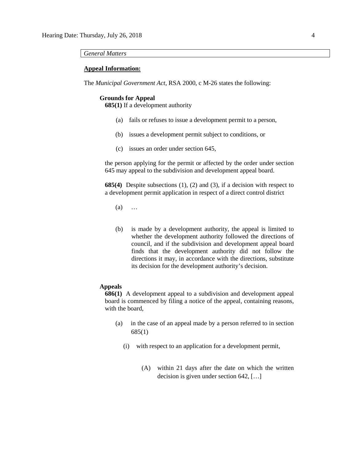#### *General Matters*

### **Appeal Information:**

The *Municipal Government Act*, RSA 2000, c M-26 states the following:

#### **Grounds for Appeal**

**685(1)** If a development authority

- (a) fails or refuses to issue a development permit to a person,
- (b) issues a development permit subject to conditions, or
- (c) issues an order under section 645,

the person applying for the permit or affected by the order under section 645 may appeal to the subdivision and development appeal board.

**685(4)** Despite subsections (1), (2) and (3), if a decision with respect to a development permit application in respect of a direct control district

- (a) …
- (b) is made by a development authority, the appeal is limited to whether the development authority followed the directions of council, and if the subdivision and development appeal board finds that the development authority did not follow the directions it may, in accordance with the directions, substitute its decision for the development authority's decision.

## **Appeals**

**686(1)** A development appeal to a subdivision and development appeal board is commenced by filing a notice of the appeal, containing reasons, with the board,

- (a) in the case of an appeal made by a person referred to in section 685(1)
	- (i) with respect to an application for a development permit,
		- (A) within 21 days after the date on which the written decision is given under section 642, […]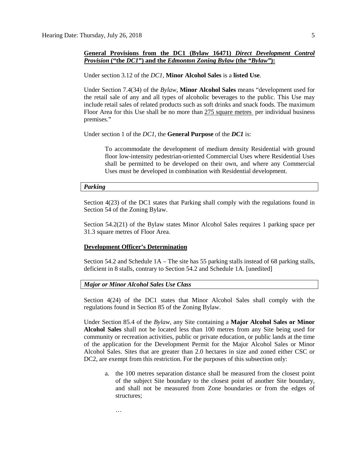### **General Provisions from the DC1 (Bylaw 16471)** *Direct Development Control Provision* **("the** *DC1***") and the** *Edmonton Zoning Bylaw* **(the** *"Bylaw"***):**

Under section 3.12 of the *DC1*, **Minor Alcohol Sales** is a **listed Use**.

Under Section 7.4(34) of the *Bylaw*, **Minor Alcohol Sales** means "development used for the retail sale of any and all types of alcoholic beverages to the public. This Use may include retail sales of related products such as soft drinks and snack foods. The maximum Floor Area for this Use shall be no more than 275 square metres per individual business premises."

Under section 1 of the *DC1*, the **General Purpose** of the *DC1* is:

To accommodate the development of medium density Residential with ground floor low-intensity pedestrian-oriented Commercial Uses where Residential Uses shall be permitted to be developed on their own, and where any Commercial Uses must be developed in combination with Residential development.

#### *Parking*

Section 4(23) of the DC1 states that Parking shall comply with the regulations found in Section 54 of the Zoning Bylaw.

Section 54.2(21) of the Bylaw states Minor Alcohol Sales requires 1 parking space per 31.3 square metres of Floor Area.

### **Development Officer's Determination**

Section 54.2 and Schedule 1A – The site has 55 parking stalls instead of 68 parking stalls, deficient in 8 stalls, contrary to Section 54.2 and Schedule 1A. [unedited]

#### *Major or Minor Alcohol Sales Use Class*

…

Section 4(24) of the DC1 states that Minor Alcohol Sales shall comply with the regulations found in Section 85 of the Zoning Bylaw.

Under Section 85.4 of the *Bylaw*, any Site containing a **Major Alcohol Sales or Minor Alcohol Sales** shall not be located less than 100 metres from any Site being used for community or recreation activities, public or private education, or public lands at the time of the application for the Development Permit for the Major Alcohol Sales or Minor Alcohol Sales. Sites that are greater than [2.0 hectar](javascript:void(0);)es in size and zoned either CSC or DC2, are exempt from this restriction. For the purposes of this subsection only:

a. the [100 me](https://webdocs.edmonton.ca/InfraPlan/zoningbylaw/ZoningBylaw/Measurements/im100.htm)tres separation distance shall be measured from the closest point of the subject Site boundary to the closest point of another Site boundary, and shall not be measured from Zone boundaries or from the edges of structures;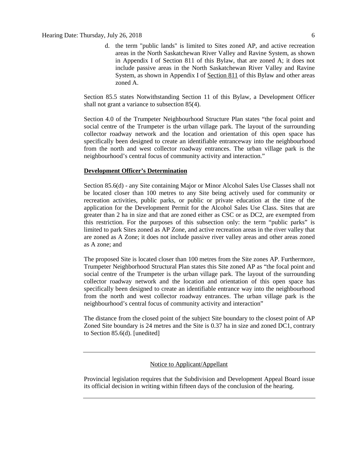d. the term "public lands" is limited to Sites zoned AP, and active recreation areas in the North Saskatchewan River Valley and Ravine System, as shown in Appendix I of Section 811 of this Bylaw, that are zoned A; it does not include passive areas in the North Saskatchewan River Valley and Ravine System, as shown in Appendix I of [Section 811](https://webdocs.edmonton.ca/InfraPlan/zoningbylaw/ZoningBylaw/Part2/Overlays/811_North_Saskatchewan_River_Valley_and_Ravine_System_Protection_Overlay.htm) of this Bylaw and other areas zoned A.

Section 85.5 states Notwithstanding Section 11 of this Bylaw, a Development Officer shall not grant a variance to subsection 85(4).

Section 4.0 of the Trumpeter Neighbourhood Structure Plan states "the focal point and social centre of the Trumpeter is the urban village park. The layout of the surrounding collector roadway network and the location and orientation of this open space has specifically been designed to create an identifiable entranceway into the neighbourhood from the north and west collector roadway entrances. The urban village park is the neighbourhood's central focus of community activity and interaction."

### **Development Officer's Determination**

Section 85.6(d) - any Site containing Major or Minor Alcohol Sales Use Classes shall not be located closer than 100 metres to any Site being actively used for community or recreation activities, public parks, or public or private education at the time of the application for the Development Permit for the Alcohol Sales Use Class. Sites that are greater than 2 ha in size and that are zoned either as CSC or as DC2, are exempted from this restriction. For the purposes of this subsection only: the term "public parks" is limited to park Sites zoned as AP Zone, and active recreation areas in the river valley that are zoned as A Zone; it does not include passive river valley areas and other areas zoned as A zone; and

The proposed Site is located closer than 100 metres from the Site zones AP. Furthermore, Trumpeter Neighborhood Structural Plan states this Site zoned AP as "the focal point and social centre of the Trumpeter is the urban village park. The layout of the surrounding collector roadway network and the location and orientation of this open space has specifically been designed to create an identifiable entrance way into the neighbourhood from the north and west collector roadway entrances. The urban village park is the neighbourhood's central focus of community activity and interaction"

The distance from the closed point of the subject Site boundary to the closest point of AP Zoned Site boundary is 24 metres and the Site is 0.37 ha in size and zoned DC1, contrary to Section 85.6(d). [unedited]

# Notice to Applicant/Appellant

Provincial legislation requires that the Subdivision and Development Appeal Board issue its official decision in writing within fifteen days of the conclusion of the hearing.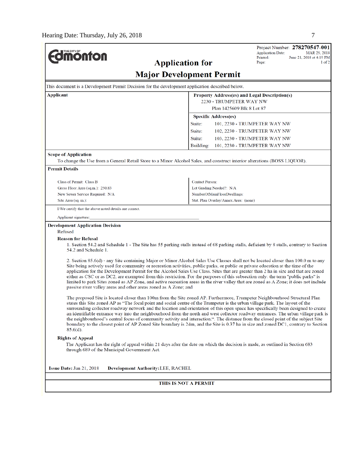**dmonton** 

Project Number: 278270547-001 **Application Date:** MAR 29, 2018 June 21, 2018 at 4:19 PM Printed: Page:  $1$  of  $2$ 

#### **Application for Major Development Permit** This document is a Development Permit Decision for the development application described below. **Applicant Property Address(es) and Legal Description(s)** 2230 - TRUMPETER WAY NW Plan 1425609 Blk 8 Lot 87 **Specific Address(es)** Suite: 101, 2230 - TRUMPETER WAY NW Suite: 102, 2230 - TRUMPETER WAY NW Suite: 103, 2230 - TRUMPETER WAY NW Building: 101, 2230 - TRUMPETER WAY NW **Scope of Application** To change the Use from a General Retail Store to a Minor Alcohol Sales, and construct interior alterations (BOSS LIQUOR). **Permit Details** Class of Permit: Class B **Contact Person:** Lot Grading Needed?: N/A Gross Floor Area (sq.m.): 250.83 New Sewer Service Required: N/A NumberOfMainFloorDwellings Site Area (sq. m.): Stat. Plan Overlay/Annex Area: (none) I/We certify that the above noted details are correct. Applicant signature: **Development Application Decision** Refused **Reason for Refusal** 1. Section 54.2 and Schedule 1 - The Site has 55 parking stalls instead of 68 parking stalls, deficient by 8 stalls, contrary to Section 54.2 and Schedule 1. 2. Section 85.6(d) - any Site containing Major or Minor Alcohol Sales Use Classes shall not be located closer than 100.0 m to any Site being actively used for community or recreation activities, public parks, or public or private education at the time of the application for the Development Permit for the Alcohol Sales Use Class. Sites that are greater than 2 ha in size and that are zoned either as CSC or as DC2, are exempted from this restriction. For the purposes of this subsection only: the term "public parks" is limited to park Sites zoned as AP Zone, and active recreation areas in the river valley that are zoned as A Zone; it does not include passive river valley areas and other areas zoned as A Zone; and The proposed Site is located closer than 100m from the Site zoned AP. Furthermore, Trumpeter Neighbourhood Structural Plan states this Site zoned AP as "The focal point and social centre of the Trumpeter is the urban village park. The layout of the surrounding collector roadway network and the location and orientation of this open space has specifically been designed to create an identifiable entrance way into the neighbourhood from the north and west collector roadway entrances. The urban village park is the neighbourhood's central focus of community activity and interaction.". The distance from the closed point of the subject Site boundary to the closest point of AP Zoned Site boundary is 24m, and the Site is 0.37 ha in size and zoned DC1, contrary to Section  $85.6(d)$ . **Rights of Appeal** The Applicant has the right of appeal within 21 days after the date on which the decision is made, as outlined in Section 683 through 689 of the Municipal Government Act. Issue Date: Jun 21, 2018 Development Authority: LEE, RACHEL THIS IS NOT A PERMIT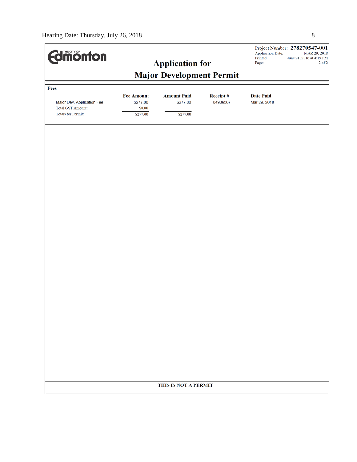| <b>dimonton</b>                                       |                               |                                |                      | <b>Application Date:</b><br>Printed: | Project Number: 278270547-001<br>MAR 29, 2018<br>June 21, 2018 at 4:19 PM |  |  |  |
|-------------------------------------------------------|-------------------------------|--------------------------------|----------------------|--------------------------------------|---------------------------------------------------------------------------|--|--|--|
|                                                       |                               | <b>Application for</b>         |                      | Page:                                | $2$ of $2\,$                                                              |  |  |  |
| <b>Major Development Permit</b>                       |                               |                                |                      |                                      |                                                                           |  |  |  |
| Fees                                                  |                               |                                |                      |                                      |                                                                           |  |  |  |
| Major Dev. Application Fee                            | <b>Fee Amount</b><br>\$277.00 | <b>Amount Paid</b><br>\$277.00 | Receipt#<br>04906567 | <b>Date Paid</b><br>Mar 29, 2018     |                                                                           |  |  |  |
| <b>Total GST Amount:</b><br><b>Totals for Permit:</b> | \$0.00<br>\$277.00            | \$277.00                       |                      |                                      |                                                                           |  |  |  |
|                                                       |                               |                                |                      |                                      |                                                                           |  |  |  |
|                                                       |                               |                                |                      |                                      |                                                                           |  |  |  |
|                                                       |                               |                                |                      |                                      |                                                                           |  |  |  |
|                                                       |                               |                                |                      |                                      |                                                                           |  |  |  |
|                                                       |                               |                                |                      |                                      |                                                                           |  |  |  |
|                                                       |                               |                                |                      |                                      |                                                                           |  |  |  |
|                                                       |                               |                                |                      |                                      |                                                                           |  |  |  |
|                                                       |                               |                                |                      |                                      |                                                                           |  |  |  |
|                                                       |                               |                                |                      |                                      |                                                                           |  |  |  |
|                                                       |                               |                                |                      |                                      |                                                                           |  |  |  |
|                                                       |                               |                                |                      |                                      |                                                                           |  |  |  |
|                                                       |                               |                                |                      |                                      |                                                                           |  |  |  |
|                                                       |                               |                                |                      |                                      |                                                                           |  |  |  |
|                                                       |                               |                                |                      |                                      |                                                                           |  |  |  |
|                                                       |                               |                                |                      |                                      |                                                                           |  |  |  |
| THIS IS NOT A PERMIT                                  |                               |                                |                      |                                      |                                                                           |  |  |  |